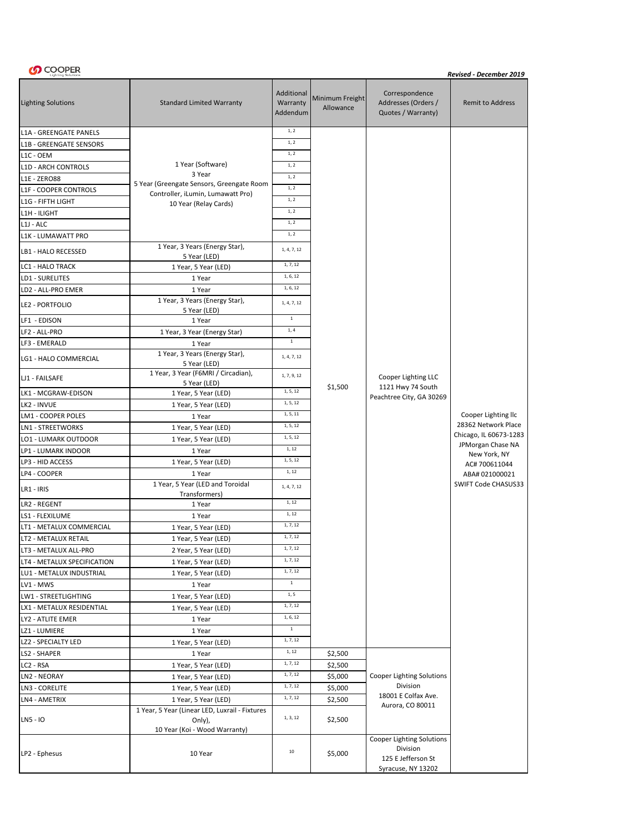

*Revised - December 2019* Lighting Solutions **Standard Limited Warranty** Additional Warranty Addendum Minimum Freight Allowance Correspondence Addresses (Orders / Quotes / Warranty) Remit to Address L1A - GREENGATE PANELS 1,2 L1B - GREENGATE SENSORS 1, 2  $\blacksquare$  1, 2 L1D - ARCH CONTROLS 1 Year (Software) 1.2 1.2<br>1, 2 Stear (Greengate Sensors, Greengate Room) 5 Year (Greengate Sensors, Greengate Room) L1F - COOPER CONTROLS 3 real (greengate sensors, greengate Room  $\frac{1}{2}$ , 2 L1G - FIFTH LIGHT 1, 2 and 2 and 2 and 2 and 2 and 2 and 2 and 2 and 2 and 2 and 2 and 2 and 2 and 2 and 2 and <u>L1H - ILIGHT 1, 2</u> L1J - ALC 1, 2 L1K - LUMAWATT PRO 1,2 LB1 - HALO RECESSED 1 Year, 3 Years (Energy Star), 5 Year (LED) 1, 4, 7, 12 LC1 - HALO TRACK 1 Year, 5 Year (LED)  $\frac{1, 7, 12}{1, 6, 12}$ LD1 - SURELITES 1 Year LD2 - ALL-PRO EMER 1,6,12 LE2 - PORTFOLIO 1 Year, 3 Years (Energy Star), 5 Year (LED) 1, 4, 7, 12 LF1 - EDISON 1 Year 1 Year 1 Year 1 1 LF2 - ALL-PRO 1 Year, 3 Year (Energy Star) 1, 4 LF3 - EMERALD 1 Year 1 LG1 - HALO COMMERCIAL 1 Year, 3 Years (Energy Star), 5 Year (LED) 1, 4, 7, 12 LJ1 - FAILSAFE 1 Year, 3 Year (F6MRI / Circadian), 5 Year (LED) 1, 7, 9, 12 LK1 - MCGRAW-EDISON 1 Year, 5 Year (LED) 1, 5, 12 LK2 - INVUE 1, 5, 12 LM1 - COOPER POLES 1 Year 1, 5, 11 LN1 - STREETWORKS 1 Year, 5 Year (LED) 1, 5, 12 LO1 - LUMARK OUTDOOR 1 Year, 5 Year (LED) 1, 5, 12 LP1 - LUMARK INDOOR 1 Year 1, 12 LP3 - HID ACCESS 1 Year, 5 Year (LED)  $1$ , 5, 12  $LPA - COOPER$  1 Year 1, 12 LR1 - IRIS 1 Year, 5 Year (LED and Toroidal Transformers) 1, 4, 7, 12 LR2 - REGENT 1 Year 1,12<br>151 ELEVILLIME 150 POINT 1,12  $\frac{1.12}{1.12}$  - FLEXILUME 1, 12<br>1.12 - METALLIX COMMERCIAL 1 Year 5 Year (LED) 1, 7, 12 LT1 - METALUX COMMERCIAL 1 Year, 5 Year (LED)  $1, 7, 12$ <br>1 Year 1 Year (LED) 1, 7, 12 LT2 - METALUX RETAIL 1 Year, 5 Year (LED) 1, 7, 12<br>1  $\frac{1}{7}$  METALUX ALL BBO LT3 - METALUX ALL-PRO 1, 2 Year, 5 Year (LED) LT4 - METALUX SPECIFICATION 1 Year, 5 Year (LED) 1, 7, 12 LU1 - METALUX INDUSTRIAL 1 Year, 5 Year (LED) 1, 7, 12 LV1 - MWS 1 Year 1  $LW1$  - STREETLIGHTING 1 Year, 5 Year (LED) 1, 5<br>1 Year 5 Year (LED) 1, 7, 12 LX1 - METALUX RESIDENTIAL | 1 Year, 5 Year (LED)  $LY2$  - ATLITE EMER 1 Year 1 Year 1, 6, 12 LZ1 - LUMIERE 1 Year <sup>1</sup>  $LZ2$  - SPECIALTY LED 1 Year, 5 Year (LED)  $1$ ,  $7, 12$  $\frac{1}{2}$  - SHAPER 1 Year 1 Year 1 Year 1, 12 \$2,500  $L$ C2 - RSA  $1$  Year, 5 Year (LED)  $1, 7, 12$  \$2,500 LN2 - NEORAY 1 Year, 5 Year (LED) 1, 7, 12 \$5,000 LN3 - CORELITE 1 Year, 5 Year (LED) 1, 7, 12 \$5,000  $LN4 - AMETRIX$  1 Year, 5 Year (LED)  $1, 7, 12$  \$2,500 LN5 - IO 1 Year, 5 Year (Linear LED, Luxrail - Fixtures Only), 10 Year (Koi - Wood Warranty)  $1, 3, 12$  \$2,500 1 Year (Software) 3 Year Controller, iLumin, Lumawatt Pro) Cooper Lighting Solutions Division 18001 E Colfax Ave. Aurora, CO 80011 Cooper Lighting LLC 1121 Hwy 74 South Peachtree City, GA 30269 Cooper Lighting llc 28362 Network Place Chicago, IL 60673-1283 JPMorgan Chase NA New York, NY AC# 700611044 ABA# 021000021 SWIFT Code CHASUS33 \$1,500

Cooper Lighting Solutions Division 125 E Jefferson St Syracuse, NY 13202

LP2 - Ephesus 20 Year 20 Year 20 10 Year 20 10 Year 20 10 10